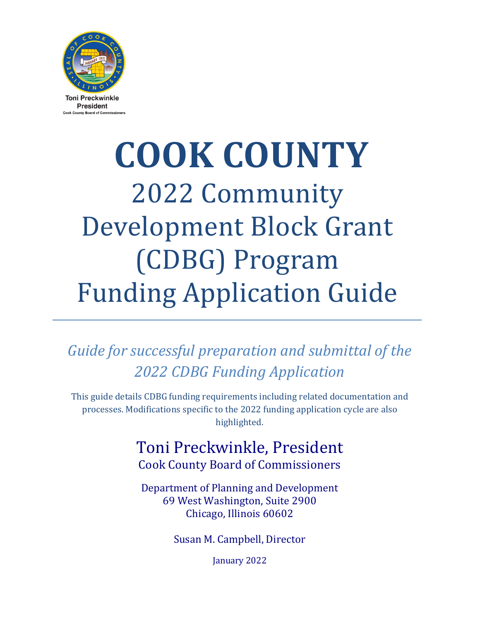

# **COOK COUNTY** 2022 Community Development Block Grant (CDBG) Program Funding Application Guide

*Guide for successful preparation and submittal of the 2022 CDBG Funding Application*

This guide details CDBG funding requirements including related documentation and processes. Modifications specific to the 2022 funding application cycle are also highlighted.

# Toni Preckwinkle, President Cook County Board of Commissioners

Department of Planning and Development 69 West Washington, Suite 2900 Chicago, Illinois 60602

Susan M. Campbell, Director

January 2022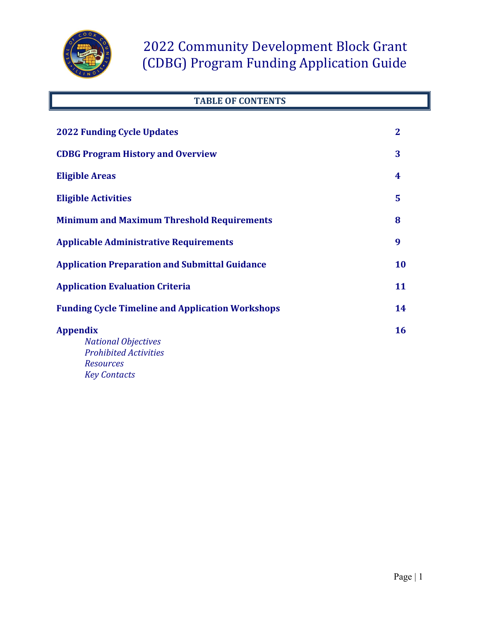

## **TABLE OF CONTENTS**

| <b>2022 Funding Cycle Updates</b>                                             |           |
|-------------------------------------------------------------------------------|-----------|
| <b>CDBG Program History and Overview</b>                                      | 3         |
| <b>Eligible Areas</b>                                                         | 4         |
| <b>Eligible Activities</b>                                                    | 5         |
| <b>Minimum and Maximum Threshold Requirements</b>                             | 8         |
| <b>Applicable Administrative Requirements</b>                                 | 9         |
| <b>Application Preparation and Submittal Guidance</b>                         | <b>10</b> |
| <b>Application Evaluation Criteria</b>                                        | 11        |
| <b>Funding Cycle Timeline and Application Workshops</b>                       | 14        |
| <b>Appendix</b><br><b>National Objectives</b><br><b>Prohibited Activities</b> | 16        |
| <b>Resources</b><br><b>Key Contacts</b>                                       |           |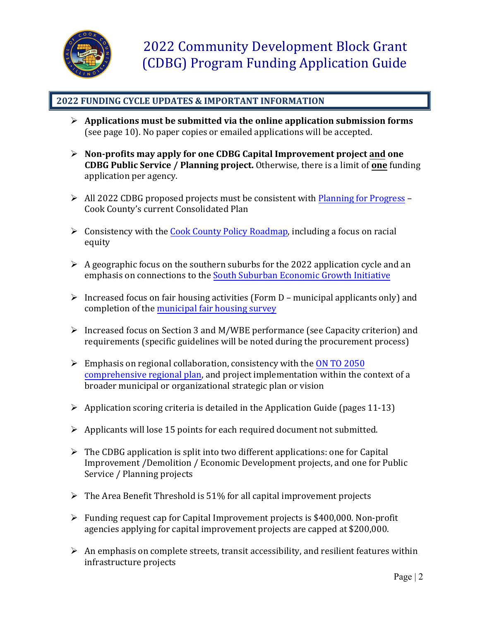

## **2022 FUNDING CYCLE UPDATES & IMPORTANT INFORMATION**

- **Applications must be submitted via the online application submission forms** (see page 10). No paper copies or emailed applications will be accepted.
- **Non-profits may apply for one CDBG Capital Improvement project and one CDBG Public Service / Planning project.** Otherwise, there is a limit of **one** funding application per agency.
- $\triangleright$  All 2022 CDBG proposed projects must be consistent with [Planning for Progress](https://www.cookcountyil.gov/content/planning-progress) Cook County's current Consolidated Plan
- $\triangleright$  Consistency with the [Cook County Policy Roadmap,](https://www.cookcountyil.gov/service/policy-roadmap) including a focus on racial equity
- $\triangleright$  A geographic focus on the southern suburbs for the 2022 application cycle and an emphasis on connections to the [South Suburban Economic Growth Initiative](https://www.cookcountyil.gov/content/south-suburban-economic-growth-initiative-ssegi)
- $\triangleright$  Increased focus on fair housing activities (Form D municipal applicants only) and completion of the [municipal fair housing survey](https://www.surveymonkey.com/r/municipalfairhousingsurvey)
- Increased focus on Section 3 and M/WBE performance (see Capacity criterion) and requirements (specific guidelines will be noted during the procurement process)
- $\triangleright$  Emphasis on regional collaboration, consistency with th[e ON TO 2050](https://www.cmap.illinois.gov/onto2050) [comprehensive regional plan,](https://www.cmap.illinois.gov/onto2050) and project implementation within the context of a broader municipal or organizational strategic plan or vision
- $\triangleright$  Application scoring criteria is detailed in the Application Guide (pages 11-13)
- $\triangleright$  Applicants will lose 15 points for each required document not submitted.
- $\triangleright$  The CDBG application is split into two different applications: one for Capital Improvement /Demolition / Economic Development projects, and one for Public Service / Planning projects
- $\triangleright$  The Area Benefit Threshold is 51% for all capital improvement projects
- $\triangleright$  Funding request cap for Capital Improvement projects is \$400,000. Non-profit agencies applying for capital improvement projects are capped at \$200,000.
- $\triangleright$  An emphasis on complete streets, transit accessibility, and resilient features within infrastructure projects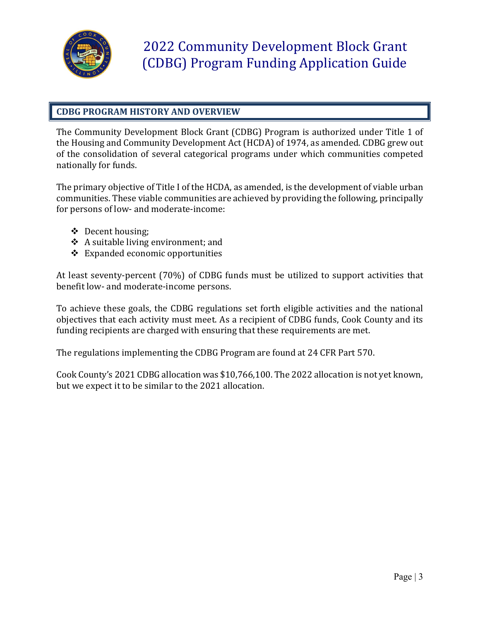

## **CDBG PROGRAM HISTORY AND OVERVIEW**

The Community Development Block Grant (CDBG) Program is authorized under Title 1 of the Housing and Community Development Act (HCDA) of 1974, as amended. CDBG grew out of the consolidation of several categorical programs under which communities competed nationally for funds.

The primary objective of Title I of the HCDA, as amended, is the development of viable urban communities. These viable communities are achieved by providing the following, principally for persons of low- and moderate-income:

- ❖ Decent housing;
- A suitable living environment; and
- $\triangle$  Expanded economic opportunities

At least seventy-percent (70%) of CDBG funds must be utilized to support activities that benefit low- and moderate-income persons.

To achieve these goals, the CDBG regulations set forth eligible activities and the national objectives that each activity must meet. As a recipient of CDBG funds, Cook County and its funding recipients are charged with ensuring that these requirements are met.

The regulations implementing the CDBG Program are found at 24 CFR Part 570.

Cook County's 2021 CDBG allocation was \$10,766,100. The 2022 allocation is not yet known, but we expect it to be similar to the 2021 allocation.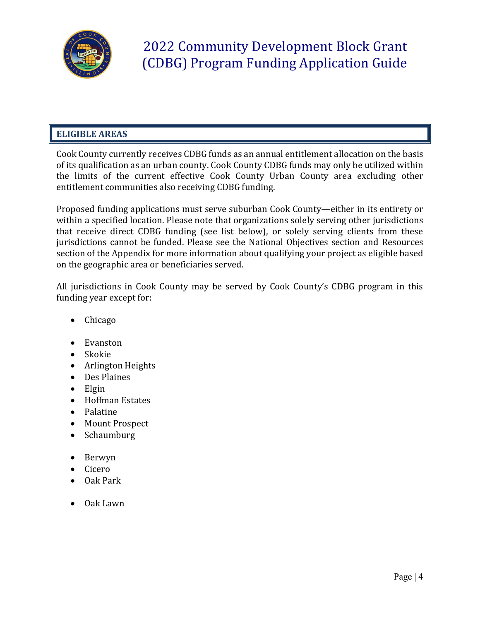

## **ELIGIBLE AREAS**

Cook County currently receives CDBG funds as an annual entitlement allocation on the basis of its qualification as an urban county. Cook County CDBG funds may only be utilized within the limits of the current effective Cook County Urban County area excluding other entitlement communities also receiving CDBG funding.

Proposed funding applications must serve suburban Cook County—either in its entirety or within a specified location. Please note that organizations solely serving other jurisdictions that receive direct CDBG funding (see list below), or solely serving clients from these jurisdictions cannot be funded. Please see the National Objectives section and Resources section of the Appendix for more information about qualifying your project as eligible based on the geographic area or beneficiaries served.

All jurisdictions in Cook County may be served by Cook County's CDBG program in this funding year except for:

- Chicago
- Evanston
- Skokie
- Arlington Heights
- Des Plaines
- Elgin
- Hoffman Estates
- Palatine
- Mount Prospect
- Schaumburg
- Berwyn
- Cicero
- Oak Park
- Oak Lawn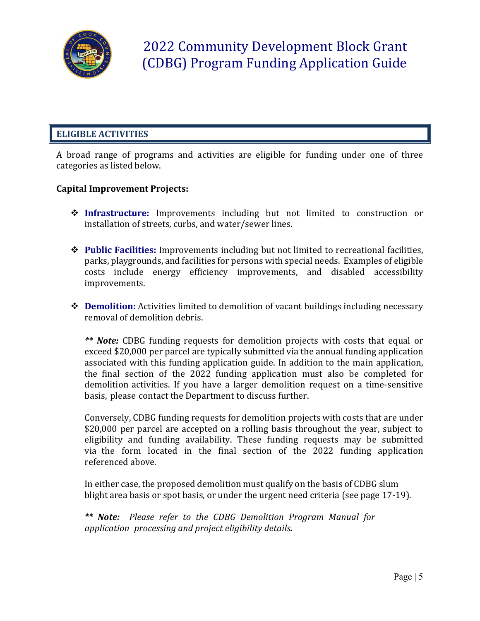

## **ELIGIBLE ACTIVITIES**

A broad range of programs and activities are eligible for funding under one of three categories as listed below.

### **Capital Improvement Projects:**

- **Infrastructure:** Improvements including but not limited to construction or installation of streets, curbs, and water/sewer lines.
- **Public Facilities:** Improvements including but not limited to recreational facilities, parks, playgrounds, and facilities for persons with special needs. Examples of eligible costs include energy efficiency improvements, and disabled accessibility improvements.
- **◆ Demolition:** Activities limited to demolition of vacant buildings including necessary removal of demolition debris.

*\*\* Note:* CDBG funding requests for demolition projects with costs that equal or exceed \$20,000 per parcel are typically submitted via the annual funding application associated with this funding application guide. In addition to the main application, the final section of the 2022 funding application must also be completed for demolition activities. If you have a larger demolition request on a time-sensitive basis, please contact the Department to discuss further.

Conversely, CDBG funding requests for demolition projects with costs that are under \$20,000 per parcel are accepted on a rolling basis throughout the year, subject to eligibility and funding availability. These funding requests may be submitted via the form located in the final section of the 2022 funding application referenced above.

In either case, the proposed demolition must qualify on the basis of CDBG slum blight area basis or spot basis, or under the urgent need criteria (see page 17-19).

*\*\* Note: Please refer to the CDBG Demolition Program Manual for application processing and project eligibility details.*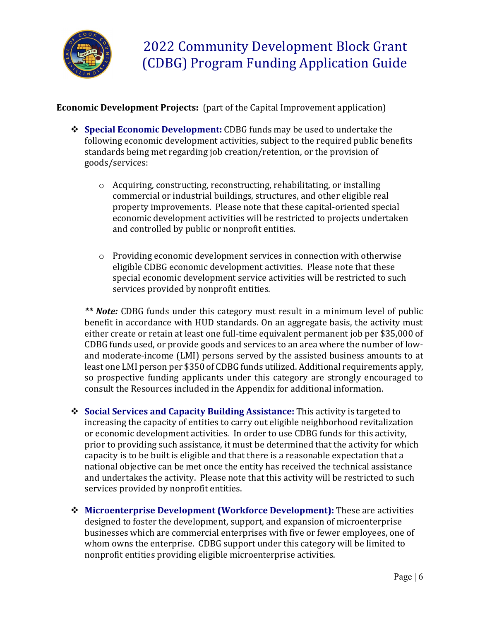

**Economic Development Projects:** (part of the Capital Improvement application)

- **Special Economic Development:** CDBG funds may be used to undertake the following economic development activities, subject to the required public benefits standards being met regarding job creation/retention, or the provision of goods/services:
	- o Acquiring, constructing, reconstructing, rehabilitating, or installing commercial or industrial buildings, structures, and other eligible real property improvements. Please note that these capital-oriented special economic development activities will be restricted to projects undertaken and controlled by public or nonprofit entities.
	- $\circ$  Providing economic development services in connection with otherwise eligible CDBG economic development activities. Please note that these special economic development service activities will be restricted to such services provided by nonprofit entities.

*\*\* Note:* CDBG funds under this category must result in a minimum level of public benefit in accordance with HUD standards. On an aggregate basis, the activity must either create or retain at least one full-time equivalent permanent job per \$35,000 of CDBG funds used, or provide goods and services to an area where the number of lowand moderate-income (LMI) persons served by the assisted business amounts to at least one LMI person per \$350 of CDBG funds utilized. Additional requirements apply, so prospective funding applicants under this category are strongly encouraged to consult the Resources included in the Appendix for additional information.

- **Social Services and Capacity Building Assistance:** This activity is targeted to increasing the capacity of entities to carry out eligible neighborhood revitalization or economic development activities. In order to use CDBG funds for this activity, prior to providing such assistance, it must be determined that the activity for which capacity is to be built is eligible and that there is a reasonable expectation that a national objective can be met once the entity has received the technical assistance and undertakes the activity. Please note that this activity will be restricted to such services provided by nonprofit entities.
- **Microenterprise Development (Workforce Development):** These are activities designed to foster the development, support, and expansion of microenterprise businesses which are commercial enterprises with five or fewer employees, one of whom owns the enterprise. CDBG support under this category will be limited to nonprofit entities providing eligible microenterprise activities.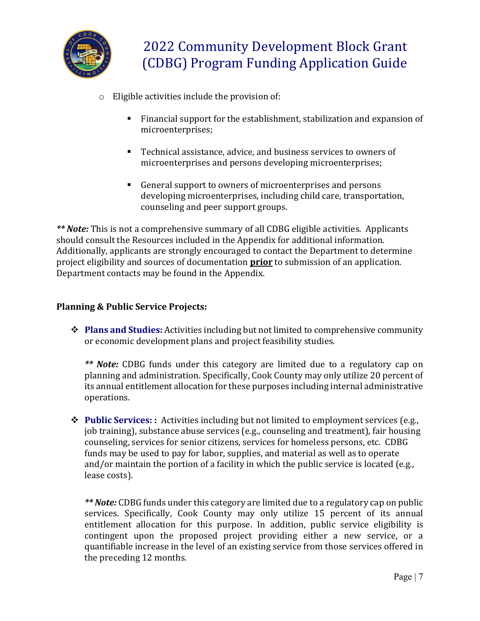

- o Eligible activities include the provision of:
	- Financial support for the establishment, stabilization and expansion of microenterprises;
	- Technical assistance, advice, and business services to owners of microenterprises and persons developing microenterprises;
	- General support to owners of microenterprises and persons developing microenterprises, including child care, transportation, counseling and peer support groups.

*\*\* Note:* This is not a comprehensive summary of all CDBG eligible activities. Applicants should consult the Resources included in the Appendix for additional information. Additionally, applicants are strongly encouraged to contact the Department to determine project eligibility and sources of documentation **prior** to submission of an application. Department contacts may be found in the Appendix.

## **Planning & Public Service Projects:**

 **Plans and Studies:** Activities including but not limited to comprehensive community or economic development plans and project feasibility studies.

*\*\* Note:* CDBG funds under this category are limited due to a regulatory cap on planning and administration. Specifically, Cook County may only utilize 20 percent of its annual entitlement allocation for these purposes including internal administrative operations.

◆ **Public Services:** : Activities including but not limited to employment services (e.g., job training), substance abuse services (e.g., counseling and treatment), fair housing counseling, services for senior citizens, services for homeless persons, etc. CDBG funds may be used to pay for labor, supplies, and material as well as to operate and/or maintain the portion of a facility in which the public service is located (e.g., lease costs).

*\*\* Note:* CDBG funds under this category are limited due to a regulatory cap on public services. Specifically, Cook County may only utilize 15 percent of its annual entitlement allocation for this purpose. In addition, public service eligibility is contingent upon the proposed project providing either a new service, or a quantifiable increase in the level of an existing service from those services offered in the preceding 12 months.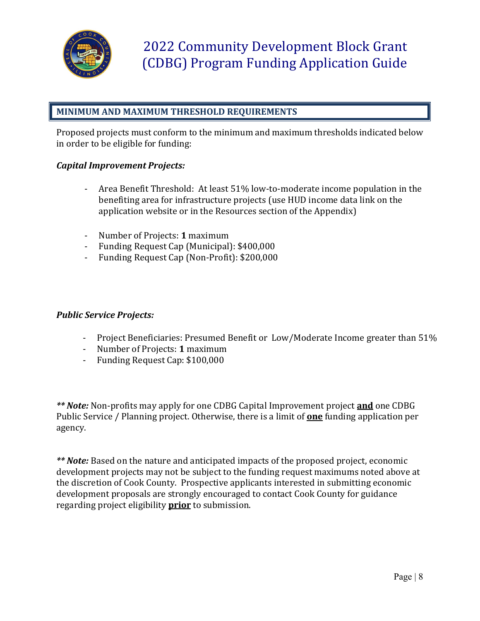

## **MINIMUM AND MAXIMUM THRESHOLD REQUIREMENTS**

Proposed projects must conform to the minimum and maximum thresholds indicated below in order to be eligible for funding:

#### *Capital Improvement Projects:*

- Area Benefit Threshold: At least 51% low-to-moderate income population in the benefiting area for infrastructure projects (use HUD income data link on the application website or in the Resources section of the Appendix)
- Number of Projects: **1** maximum
- Funding Request Cap (Municipal): \$400,000
- Funding Request Cap (Non-Profit): \$200,000

#### *Public Service Projects:*

- Project Beneficiaries: Presumed Benefit or Low/Moderate Income greater than 51%
- Number of Projects: **1** maximum
- Funding Request Cap: \$100,000

*\*\* Note:* Non-profits may apply for one CDBG Capital Improvement project **and** one CDBG Public Service / Planning project. Otherwise, there is a limit of **one** funding application per agency.

*\*\* Note:* Based on the nature and anticipated impacts of the proposed project, economic development projects may not be subject to the funding request maximums noted above at the discretion of Cook County. Prospective applicants interested in submitting economic development proposals are strongly encouraged to contact Cook County for guidance regarding project eligibility **prior** to submission.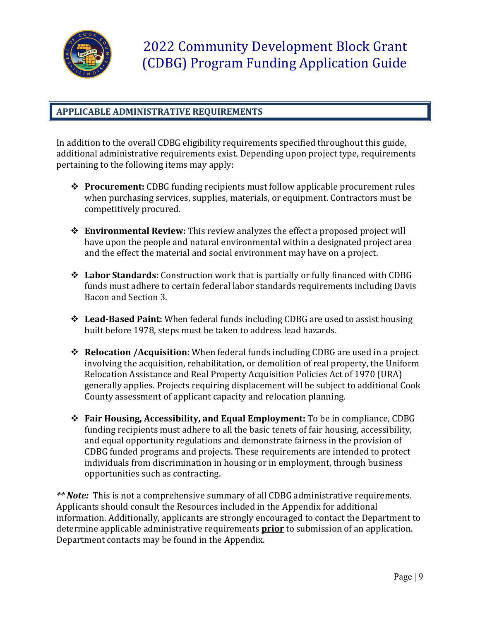

## **APPLICABLE ADMINISTRATIVE REQUIREMENTS**

In addition to the overall CDBG eligibility requirements specified throughout this guide, additional administrative requirements exist. Depending upon project type, requirements pertaining to the following items may apply:

- **Procurement:** CDBG funding recipients must follow applicable procurement rules when purchasing services, supplies, materials, or equipment. Contractors must be competitively procured.
- **Environmental Review:** This review analyzes the effect a proposed project will have upon the people and natural environmental within a designated project area and the effect the material and social environment may have on a project.
- **Labor Standards:** Construction work that is partially or fully financed with CDBG funds must adhere to certain federal labor standards requirements including Davis Bacon and Section 3.
- **Lead-Based Paint:** When federal funds including CDBG are used to assist housing built before 1978, steps must be taken to address lead hazards.
- **Relocation /Acquisition:** When federal funds including CDBG are used in a project involving the acquisition, rehabilitation, or demolition of real property, the Uniform Relocation Assistance and Real Property Acquisition Policies Act of 1970 (URA) generally applies. Projects requiring displacement will be subject to additional Cook County assessment of applicant capacity and relocation planning.
- **Fair Housing, Accessibility, and Equal Employment:** To be in compliance, CDBG funding recipients must adhere to all the basic tenets of fair housing, accessibility, and equal opportunity regulations and demonstrate fairness in the provision of CDBG funded programs and projects. These requirements are intended to protect individuals from discrimination in housing or in employment, through business opportunities such as contracting.

*\*\* Note:* This is not a comprehensive summary of all CDBG administrative requirements. Applicants should consult the Resources included in the Appendix for additional information. Additionally, applicants are strongly encouraged to contact the Department to determine applicable administrative requirements **prior** to submission of an application. Department contacts may be found in the Appendix.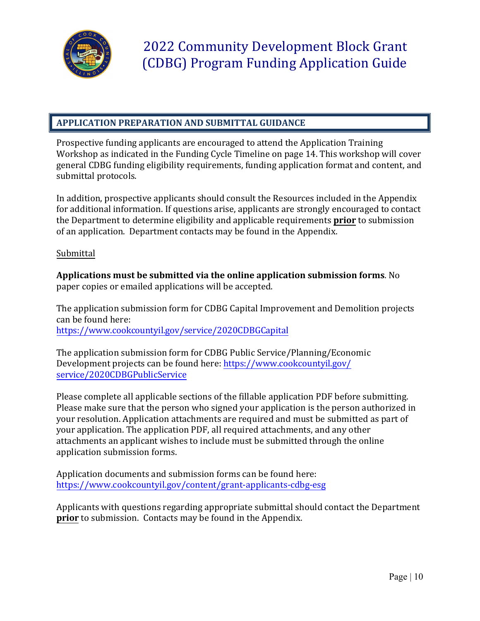

## **APPLICATION PREPARATION AND SUBMITTAL GUIDANCE**

Prospective funding applicants are encouraged to attend the Application Training Workshop as indicated in the Funding Cycle Timeline on page 14. This workshop will cover general CDBG funding eligibility requirements, funding application format and content, and submittal protocols.

In addition, prospective applicants should consult the Resources included in the Appendix for additional information. If questions arise, applicants are strongly encouraged to contact the Department to determine eligibility and applicable requirements **prior** to submission of an application. Department contacts may be found in the Appendix.

#### Submittal

**Applications must be submitted via the online application submission forms**. No paper copies or emailed applications will be accepted.

The application submission form for CDBG Capital Improvement and Demolition projects can be found here: <https://www.cookcountyil.gov/service/2020CDBGCapital>

The application submission form for CDBG Public Service/Planning/Economic Development projects can be found [here: https://www.cookcountyil.go](https://www.cookcountyil.gov/service/2020CDBGPublicService)v/ service/2020CDBGPublicService

Please complete all applicable sections of the fillable application PDF before submitting. Please make sure that the person who signed your application is the person authorized in your resolution. Application attachments are required and must be submitted as part of your application. The application PDF, all required attachments, and any other attachments an applicant wishes to include must be submitted through the online application submission forms.

Application documents [and submission forms can be found here:](https://www.cookcountyil.gov/content/grant-applicants-cdbg-esg)  https://www.cookcountyil.gov/content/grant-applicants-cdbg-esg

Applicants with questions regarding appropriate submittal should contact the Department **prior** to submission. Contacts may be found in the Appendix.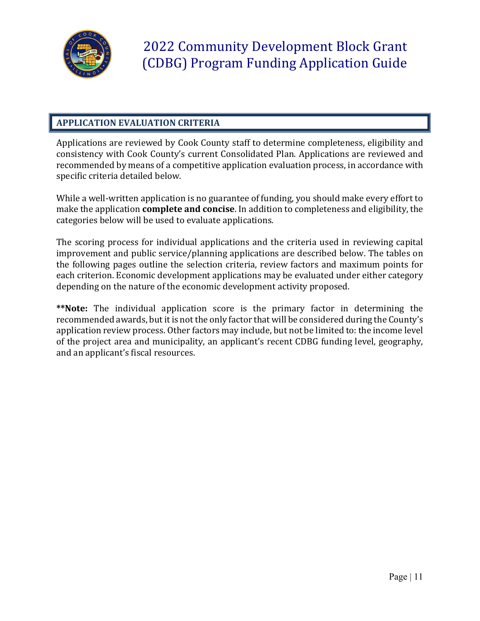

## **APPLICATION EVALUATION CRITERIA**

Applications are reviewed by Cook County staff to determine completeness, eligibility and consistency with Cook County's current Consolidated Plan. Applications are reviewed and recommended by means of a competitive application evaluation process, in accordance with specific criteria detailed below.

While a well-written application is no guarantee of funding, you should make every effort to make the application **complete and concise**. In addition to completeness and eligibility, the categories below will be used to evaluate applications.

The scoring process for individual applications and the criteria used in reviewing capital improvement and public service/planning applications are described below. The tables on the following pages outline the selection criteria, review factors and maximum points for each criterion. Economic development applications may be evaluated under either category depending on the nature of the economic development activity proposed.

**\*\*Note:** The individual application score is the primary factor in determining the recommended awards, but it is not the only factor that will be considered during the County's application review process. Other factors may include, but not be limited to: the income level of the project area and municipality, an applicant's recent CDBG funding level, geography, and an applicant's fiscal resources.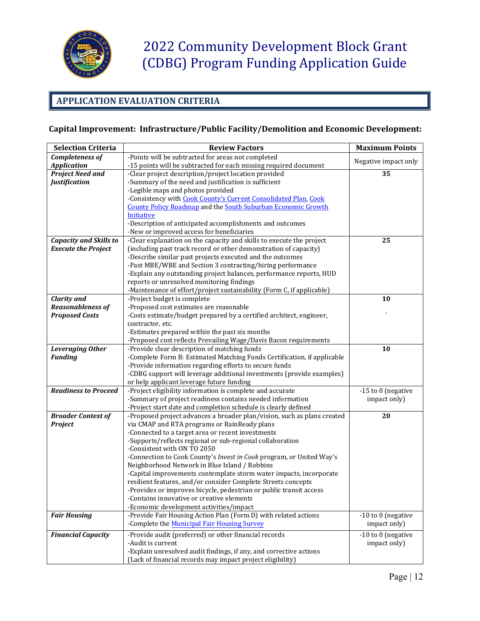

## **APPLICATION EVALUATION CRITERIA**

## **Capital Improvement: Infrastructure/Public Facility/Demolition and Economic Development:**

| <b>Selection Criteria</b>     | <b>Review Factors</b>                                                                                                                    | <b>Maximum Points</b> |
|-------------------------------|------------------------------------------------------------------------------------------------------------------------------------------|-----------------------|
| Completeness of               | -Points will be subtracted for areas not completed                                                                                       |                       |
| <b>Application</b>            | -15 points will be subtracted for each missing required document                                                                         | Negative impact only  |
|                               |                                                                                                                                          |                       |
| <b>Project Need and</b>       | -Clear project description/project location provided<br>-Summary of the need and justification is sufficient                             | 35                    |
| <b>Justification</b>          |                                                                                                                                          |                       |
|                               | -Legible maps and photos provided                                                                                                        |                       |
|                               | -Consistency with Cook County's Current Consolidated Plan, Cook                                                                          |                       |
|                               | <b>County Policy Roadmap and the South Suburban Economic Growth</b><br>Initiative                                                        |                       |
|                               |                                                                                                                                          |                       |
|                               | -Description of anticipated accomplishments and outcomes                                                                                 |                       |
|                               | -New or improved access for beneficiaries                                                                                                |                       |
| <b>Capacity and Skills to</b> | -Clear explanation on the capacity and skills to execute the project<br>(including past track record or other demonstration of capacity) | 25                    |
| <b>Execute the Project</b>    |                                                                                                                                          |                       |
|                               | -Describe similar past projects executed and the outcomes                                                                                |                       |
|                               | -Past MBE/WBE and Section 3 contracting/hiring performance                                                                               |                       |
|                               | -Explain any outstanding project balances, performance reports, HUD                                                                      |                       |
|                               | reports or unresolved monitoring findings                                                                                                |                       |
| <b>Clarity and</b>            | -Maintenance of effort/project sustainability (Form C, if applicable)<br>-Project budget is complete                                     | 10                    |
| <b>Reasonableness of</b>      | -Proposed cost estimates are reasonable                                                                                                  |                       |
| <b>Proposed Costs</b>         | -Costs estimate/budget prepared by a certified architect, engineer,                                                                      |                       |
|                               | contractor, etc.                                                                                                                         |                       |
|                               | -Estimates prepared within the past six months                                                                                           |                       |
|                               | -Proposed cost reflects Prevailing Wage/Davis Bacon requirements                                                                         |                       |
| <b>Leveraging Other</b>       | -Provide clear description of matching funds                                                                                             | 10                    |
| <b>Funding</b>                | -Complete Form B: Estimated Matching Funds Certification, if applicable                                                                  |                       |
|                               | -Provide information regarding efforts to secure funds                                                                                   |                       |
|                               | -CDBG support will leverage additional investments (provide examples)                                                                    |                       |
|                               | or help applicant leverage future funding                                                                                                |                       |
| <b>Readiness to Proceed</b>   | -Project eligibility information is complete and accurate                                                                                | -15 to 0 (negative    |
|                               | -Summary of project readiness contains needed information                                                                                | impact only)          |
|                               | -Project start date and completion schedule is clearly defined                                                                           |                       |
| <b>Broader Context of</b>     | -Proposed project advances a broader plan/vision, such as plans created                                                                  | 20                    |
| Project                       | via CMAP and RTA programs or RainReady plans                                                                                             |                       |
|                               | -Connected to a target area or recent investments                                                                                        |                       |
|                               | -Supports/reflects regional or sub-regional collaboration                                                                                |                       |
|                               | -Consistent with ON TO 2050                                                                                                              |                       |
|                               | -Connection to Cook County's Invest in Cook program, or United Way's                                                                     |                       |
|                               | Neighborhood Network in Blue Island / Robbins                                                                                            |                       |
|                               | -Capital improvements contemplate storm water impacts, incorporate                                                                       |                       |
|                               | resilient features, and/or consider Complete Streets concepts                                                                            |                       |
|                               | -Provides or improves bicycle, pedestrian or public transit access                                                                       |                       |
|                               | -Contains innovative or creative elements                                                                                                |                       |
|                               | -Economic development activities/impact                                                                                                  |                       |
| <b>Fair Housing</b>           | -Provide Fair Housing Action Plan (Form D) with related actions                                                                          | -10 to 0 (negative    |
|                               | -Complete the Municipal Fair Housing Survey                                                                                              | impact only)          |
| <b>Financial Capacity</b>     | -Provide audit (preferred) or other financial records                                                                                    | -10 to 0 (negative    |
|                               | -Audit is current                                                                                                                        | impact only)          |
|                               | -Explain unresolved audit findings, if any, and corrective actions                                                                       |                       |
|                               | (Lack of financial records may impact project eligibility)                                                                               |                       |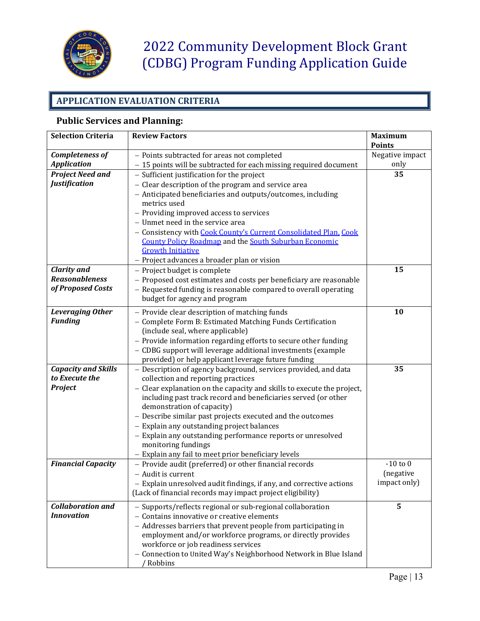

## **APPLICATION EVALUATION CRITERIA**

## **Public Services and Planning:**

| <b>Selection Criteria</b>  | <b>Review Factors</b>                                                  | <b>Maximum</b>  |
|----------------------------|------------------------------------------------------------------------|-----------------|
|                            |                                                                        | <b>Points</b>   |
| <b>Completeness of</b>     | - Points subtracted for areas not completed                            | Negative impact |
| <b>Application</b>         | - 15 points will be subtracted for each missing required document      | only            |
| <b>Project Need and</b>    | - Sufficient justification for the project                             | 35              |
| <b>Justification</b>       | - Clear description of the program and service area                    |                 |
|                            | - Anticipated beneficiaries and outputs/outcomes, including            |                 |
|                            | metrics used                                                           |                 |
|                            | - Providing improved access to services                                |                 |
|                            | - Unmet need in the service area                                       |                 |
|                            | - Consistency with Cook County's Current Consolidated Plan, Cook       |                 |
|                            | <b>County Policy Roadmap and the South Suburban Economic</b>           |                 |
|                            | <b>Growth Initiative</b>                                               |                 |
|                            | - Project advances a broader plan or vision                            |                 |
| <b>Clarity and</b>         | - Project budget is complete                                           | 15              |
| <b>Reasonableness</b>      | - Proposed cost estimates and costs per beneficiary are reasonable     |                 |
| of Proposed Costs          | - Requested funding is reasonable compared to overall operating        |                 |
|                            | budget for agency and program                                          |                 |
| <b>Leveraging Other</b>    | - Provide clear description of matching funds                          | 10              |
| <b>Funding</b>             | - Complete Form B: Estimated Matching Funds Certification              |                 |
|                            | (include seal, where applicable)                                       |                 |
|                            | - Provide information regarding efforts to secure other funding        |                 |
|                            | - CDBG support will leverage additional investments (example           |                 |
|                            | provided) or help applicant leverage future funding                    |                 |
| <b>Capacity and Skills</b> | - Description of agency background, services provided, and data        | 35              |
| to Execute the             | collection and reporting practices                                     |                 |
| Project                    | - Clear explanation on the capacity and skills to execute the project, |                 |
|                            | including past track record and beneficiaries served (or other         |                 |
|                            | demonstration of capacity)                                             |                 |
|                            | - Describe similar past projects executed and the outcomes             |                 |
|                            | - Explain any outstanding project balances                             |                 |
|                            | - Explain any outstanding performance reports or unresolved            |                 |
|                            | monitoring fundings                                                    |                 |
|                            | - Explain any fail to meet prior beneficiary levels                    |                 |
| <b>Financial Capacity</b>  | - Provide audit (preferred) or other financial records                 | $-10$ to $0$    |
|                            | - Audit is current                                                     | (negative       |
|                            | - Explain unresolved audit findings, if any, and corrective actions    | impact only)    |
|                            | (Lack of financial records may impact project eligibility)             |                 |
| <b>Collaboration and</b>   | - Supports/reflects regional or sub-regional collaboration             | 5               |
| <b>Innovation</b>          | - Contains innovative or creative elements                             |                 |
|                            | - Addresses barriers that prevent people from participating in         |                 |
|                            | employment and/or workforce programs, or directly provides             |                 |
|                            | workforce or job readiness services                                    |                 |
|                            | - Connection to United Way's Neighborhood Network in Blue Island       |                 |
|                            | Robbins                                                                |                 |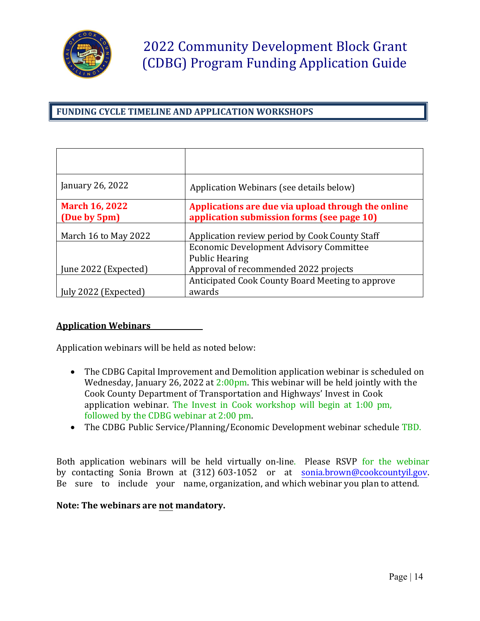

## **FUNDING CYCLE TIMELINE AND APPLICATION WORKSHOPS**

| January 26, 2022                      | Application Webinars (see details below)                                                         |
|---------------------------------------|--------------------------------------------------------------------------------------------------|
| <b>March 16, 2022</b><br>(Due by 5pm) | Applications are due via upload through the online<br>application submission forms (see page 10) |
| March 16 to May 2022                  | Application review period by Cook County Staff                                                   |
|                                       | <b>Economic Development Advisory Committee</b>                                                   |
|                                       | <b>Public Hearing</b>                                                                            |
| June 2022 (Expected)                  | Approval of recommended 2022 projects                                                            |
|                                       | Anticipated Cook County Board Meeting to approve                                                 |
| ly 2022 (Expected)                    | awards                                                                                           |

#### **Application Webinars**

Application webinars will be held as noted below:

- The CDBG Capital Improvement and Demolition application webinar is scheduled on Wednesday, January 26, 2022 at 2:00pm. This webinar will be held jointly with the Cook County Department of Transportation and Highways' Invest in Cook application webinar. The Invest in Cook workshop will begin at 1:00 pm, followed by the CDBG webinar at 2:00 pm.
- The CDBG Public Service/Planning/Economic Development webinar schedule TBD.

Both application webinars will be held virtually on-line. Please RSVP for the webinar by contacting Sonia Brown at (312) 603-1052 or at [sonia.brown@cookcountyil.gov.](mailto:sonia.brown@cookcountyil.gov) Be sure to include your name, organization, and which webinar you plan to attend.

#### **Note: The webinars are not mandatory.**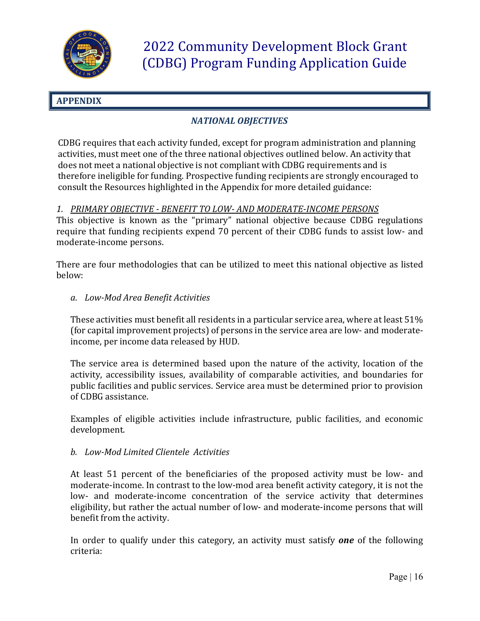

## **APPENDIX**

## *NATIONAL OBJECTIVES*

CDBG requires that each activity funded, except for program administration and planning activities, must meet one of the three national objectives outlined below. An activity that does not meet a national objective is not compliant with CDBG requirements and is therefore ineligible for funding. Prospective funding recipients are strongly encouraged to consult the Resources highlighted in the Appendix for more detailed guidance:

## *1. PRIMARY OBJECTIVE - BENEFIT TO LOW- AND MODERATE-INCOME PERSONS*

This objective is known as the "primary" national objective because CDBG regulations require that funding recipients expend 70 percent of their CDBG funds to assist low- and moderate-income persons.

There are four methodologies that can be utilized to meet this national objective as listed below:

*a. Low-Mod Area Benefit Activities*

These activities must benefit all residents in a particular service area, where at least 51% (for capital improvement projects) of persons in the service area are low- and moderateincome, per income data released by HUD.

The service area is determined based upon the nature of the activity, location of the activity, accessibility issues, availability of comparable activities, and boundaries for public facilities and public services. Service area must be determined prior to provision of CDBG assistance.

Examples of eligible activities include infrastructure, public facilities, and economic development.

#### *b. Low-Mod Limited Clientele Activities*

At least 51 percent of the beneficiaries of the proposed activity must be low- and moderate-income. In contrast to the low-mod area benefit activity category, it is not the low- and moderate-income concentration of the service activity that determines eligibility, but rather the actual number of low- and moderate-income persons that will benefit from the activity.

In order to qualify under this category, an activity must satisfy *one* of the following criteria: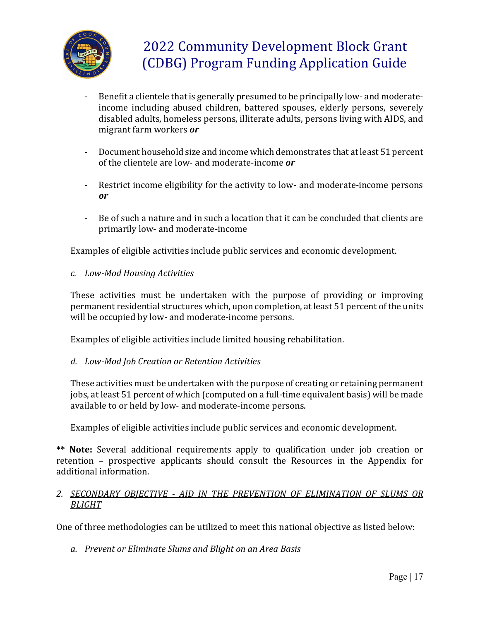

- Benefit a clientele that is generally presumed to be principally low- and moderateincome including abused children, battered spouses, elderly persons, severely disabled adults, homeless persons, illiterate adults, persons living with AIDS, and migrant farm workers *or*
- Document household size and income which demonstrates that at least 51 percent of the clientele are low- and moderate-income *or*
- Restrict income eligibility for the activity to low- and moderate-income persons *or*
- Be of such a nature and in such a location that it can be concluded that clients are primarily low- and moderate-income

Examples of eligible activities include public services and economic development.

*c. Low-Mod Housing Activities*

These activities must be undertaken with the purpose of providing or improving permanent residential structures which, upon completion, at least 51 percent of the units will be occupied by low- and moderate-income persons.

Examples of eligible activities include limited housing rehabilitation.

*d. Low-Mod Job Creation or Retention Activities*

These activities must be undertaken with the purpose of creating or retaining permanent jobs, at least 51 percent of which (computed on a full-time equivalent basis) will be made available to or held by low- and moderate-income persons.

Examples of eligible activities include public services and economic development.

**\*\* Note:** Several additional requirements apply to qualification under job creation or retention – prospective applicants should consult the Resources in the Appendix for additional information.

#### *2. SECONDARY OBJECTIVE - AID IN THE PREVENTION OF ELIMINATION OF SLUMS OR BLIGHT*

One of three methodologies can be utilized to meet this national objective as listed below:

*a. Prevent or Eliminate Slums and Blight on an Area Basis*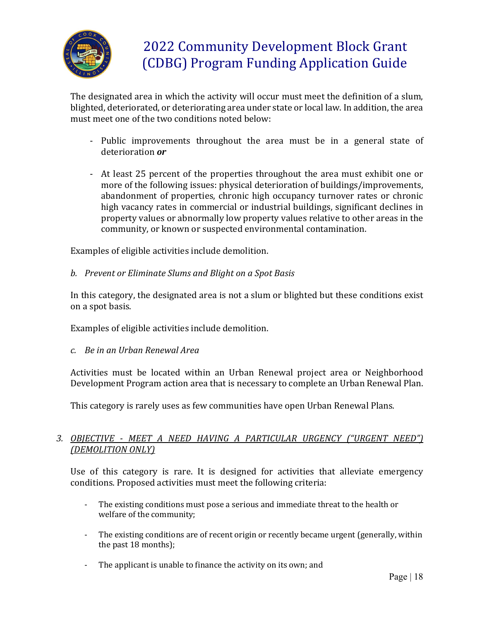

The designated area in which the activity will occur must meet the definition of a slum, blighted, deteriorated, or deteriorating area under state or local law. In addition, the area must meet one of the two conditions noted below:

- Public improvements throughout the area must be in a general state of deterioration *or*
- At least 25 percent of the properties throughout the area must exhibit one or more of the following issues: physical deterioration of buildings/improvements, abandonment of properties, chronic high occupancy turnover rates or chronic high vacancy rates in commercial or industrial buildings, significant declines in property values or abnormally low property values relative to other areas in the community, or known or suspected environmental contamination.

Examples of eligible activities include demolition.

*b. Prevent or Eliminate Slums and Blight on a Spot Basis*

In this category, the designated area is not a slum or blighted but these conditions exist on a spot basis.

Examples of eligible activities include demolition.

*c. Be in an Urban Renewal Area*

Activities must be located within an Urban Renewal project area or Neighborhood Development Program action area that is necessary to complete an Urban Renewal Plan.

This category is rarely uses as few communities have open Urban Renewal Plans.

## *3. OBJECTIVE - MEET A NEED HAVING A PARTICULAR URGENCY ("URGENT NEED") (DEMOLITION ONLY)*

Use of this category is rare. It is designed for activities that alleviate emergency conditions. Proposed activities must meet the following criteria:

- The existing conditions must pose a serious and immediate threat to the health or welfare of the community;
- The existing conditions are of recent origin or recently became urgent (generally, within the past 18 months);
- The applicant is unable to finance the activity on its own; and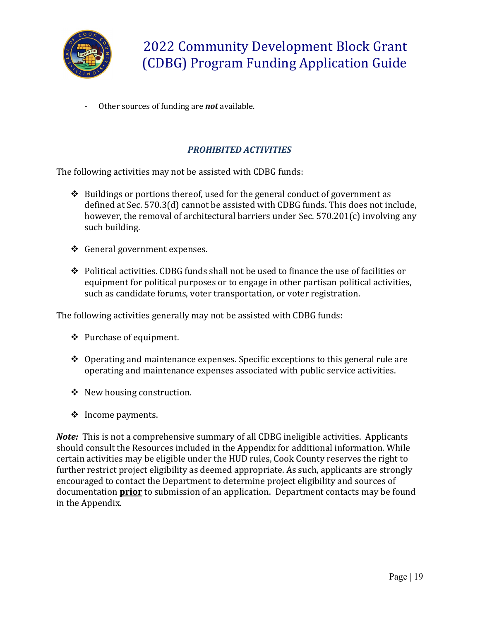

- Other sources of funding are *not* available.

## *PROHIBITED ACTIVITIES*

The following activities may not be assisted with CDBG funds:

- $\triangle$  Buildings or portions thereof, used for the general conduct of government as defined at Sec. 570.3(d) cannot be assisted with CDBG funds. This does not include, however, the removal of architectural barriers under Sec. 570.201(c) involving any such building.
- ❖ General government expenses.
- $\div$  Political activities. CDBG funds shall not be used to finance the use of facilities or equipment for political purposes or to engage in other partisan political activities, such as candidate forums, voter transportation, or voter registration.

The following activities generally may not be assisted with CDBG funds:

- ❖ Purchase of equipment.
- $\triangle$  Operating and maintenance expenses. Specific exceptions to this general rule are operating and maintenance expenses associated with public service activities.
- $\triangle$  New housing construction.
- $\div$  Income payments.

*Note:* This is not a comprehensive summary of all CDBG ineligible activities. Applicants should consult the Resources included in the Appendix for additional information. While certain activities may be eligible under the HUD rules, Cook County reserves the right to further restrict project eligibility as deemed appropriate. As such, applicants are strongly encouraged to contact the Department to determine project eligibility and sources of documentation **prior** to submission of an application. Department contacts may be found in the Appendix.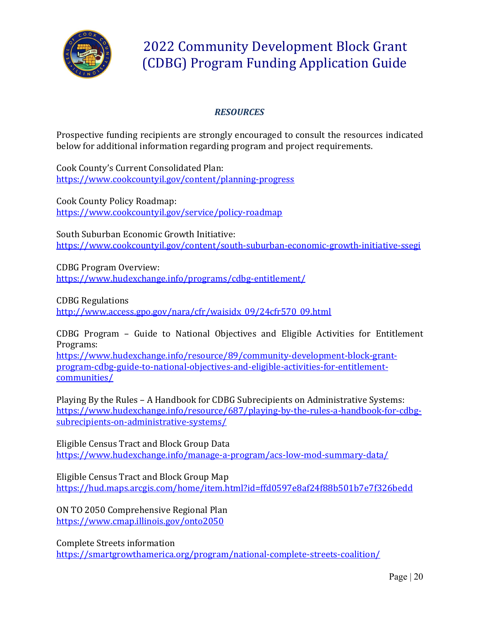

## *RESOURCES*

Prospective funding recipients are strongly encouraged to consult the resources indicated below for additional information regarding program and project requirements.

Cook County's Current Consolidated Plan: <https://www.cookcountyil.gov/content/planning-progress>

Cook County Policy Roadmap: <https://www.cookcountyil.gov/service/policy-roadmap>

South Suburban Economic Growth Initiative: <https://www.cookcountyil.gov/content/south-suburban-economic-growth-initiative-ssegi>

CDBG Program Overview: <https://www.hudexchange.info/programs/cdbg-entitlement/>

CDBG Regulations [http://www.access.gpo.gov/nara/cfr/waisidx\\_09/24cfr570\\_09.html](http://www.access.gpo.gov/nara/cfr/waisidx_09/24cfr570_09.html)

CDBG Program – Guide to National Objectives and Eligible Activities for Entitlement Programs:

[https://www.hudexchange.info/resource/89/community-development-block-grant](https://www.hudexchange.info/resource/89/community-development-block-grant-program-cdbg-guide-to-national-objectives-and-eligible-activities-for-entitlement-communities/)[program-cdbg-guide-to-national-objectives-and-eligible-activities-for-entitlement](https://www.hudexchange.info/resource/89/community-development-block-grant-program-cdbg-guide-to-national-objectives-and-eligible-activities-for-entitlement-communities/)[communities/](https://www.hudexchange.info/resource/89/community-development-block-grant-program-cdbg-guide-to-national-objectives-and-eligible-activities-for-entitlement-communities/)

Playing By the Rules – A Handbook for CDBG Subrecipients on Administrative Systems: [https://www.hudexchange.info/resource/687/playing-by-the-rules-a-handbook-for-cdbg](https://www.hudexchange.info/resource/687/playing-by-the-rules-a-handbook-for-cdbg-subrecipients-on-administrative-systems/)[subrecipients-on-administrative-systems/](https://www.hudexchange.info/resource/687/playing-by-the-rules-a-handbook-for-cdbg-subrecipients-on-administrative-systems/)

Eligible Census Tract and Block Group Data <https://www.hudexchange.info/manage-a-program/acs-low-mod-summary-data/>

Eligible Census Tract and Block Group Map <https://hud.maps.arcgis.com/home/item.html?id=ffd0597e8af24f88b501b7e7f326bedd>

ON TO 2050 Comprehensive Regional Plan <https://www.cmap.illinois.gov/onto2050>

Complete Streets information <https://smartgrowthamerica.org/program/national-complete-streets-coalition/>